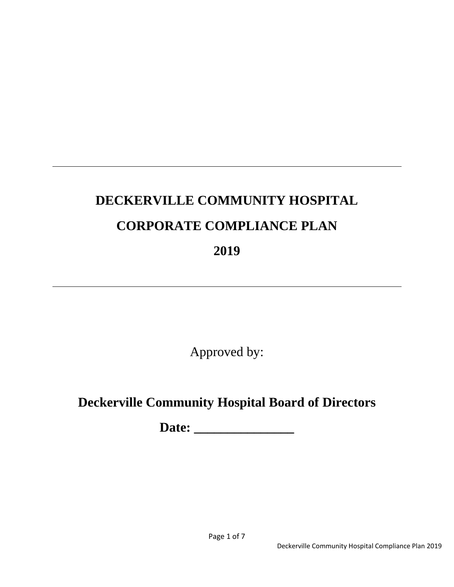# **DECKERVILLE COMMUNITY HOSPITAL CORPORATE COMPLIANCE PLAN 2019**

Approved by:

# **Deckerville Community Hospital Board of Directors**

**Date: \_\_\_\_\_\_\_\_\_\_\_\_\_\_\_**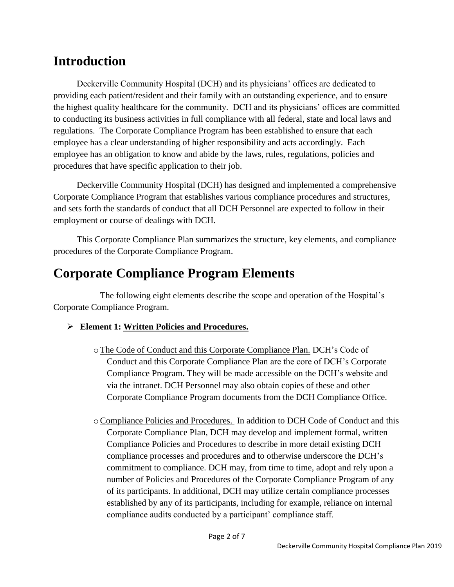# **Introduction**

Deckerville Community Hospital (DCH) and its physicians' offices are dedicated to providing each patient/resident and their family with an outstanding experience, and to ensure the highest quality healthcare for the community. DCH and its physicians' offices are committed to conducting its business activities in full compliance with all federal, state and local laws and regulations. The Corporate Compliance Program has been established to ensure that each employee has a clear understanding of higher responsibility and acts accordingly. Each employee has an obligation to know and abide by the laws, rules, regulations, policies and procedures that have specific application to their job.

Deckerville Community Hospital (DCH) has designed and implemented a comprehensive Corporate Compliance Program that establishes various compliance procedures and structures, and sets forth the standards of conduct that all DCH Personnel are expected to follow in their employment or course of dealings with DCH.

This Corporate Compliance Plan summarizes the structure, key elements, and compliance procedures of the Corporate Compliance Program.

# **Corporate Compliance Program Elements**

The following eight elements describe the scope and operation of the Hospital's Corporate Compliance Program.

# **Element 1: Written Policies and Procedures.**

- oThe Code of Conduct and this Corporate Compliance Plan. DCH's Code of Conduct and this Corporate Compliance Plan are the core of DCH's Corporate Compliance Program. They will be made accessible on the DCH's website and via the intranet. DCH Personnel may also obtain copies of these and other Corporate Compliance Program documents from the DCH Compliance Office.
- oCompliance Policies and Procedures. In addition to DCH Code of Conduct and this Corporate Compliance Plan, DCH may develop and implement formal, written Compliance Policies and Procedures to describe in more detail existing DCH compliance processes and procedures and to otherwise underscore the DCH's commitment to compliance. DCH may, from time to time, adopt and rely upon a number of Policies and Procedures of the Corporate Compliance Program of any of its participants. In additional, DCH may utilize certain compliance processes established by any of its participants, including for example, reliance on internal compliance audits conducted by a participant' compliance staff.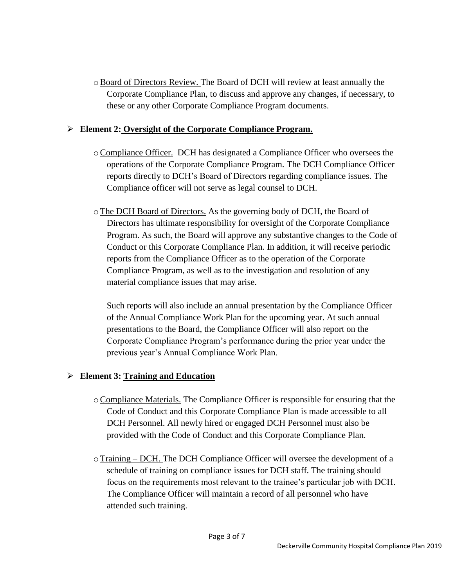oBoard of Directors Review. The Board of DCH will review at least annually the Corporate Compliance Plan, to discuss and approve any changes, if necessary, to these or any other Corporate Compliance Program documents.

#### **Element 2: Oversight of the Corporate Compliance Program.**

- oCompliance Officer. DCH has designated a Compliance Officer who oversees the operations of the Corporate Compliance Program. The DCH Compliance Officer reports directly to DCH's Board of Directors regarding compliance issues. The Compliance officer will not serve as legal counsel to DCH.
- oThe DCH Board of Directors. As the governing body of DCH, the Board of Directors has ultimate responsibility for oversight of the Corporate Compliance Program. As such, the Board will approve any substantive changes to the Code of Conduct or this Corporate Compliance Plan. In addition, it will receive periodic reports from the Compliance Officer as to the operation of the Corporate Compliance Program, as well as to the investigation and resolution of any material compliance issues that may arise.

Such reports will also include an annual presentation by the Compliance Officer of the Annual Compliance Work Plan for the upcoming year. At such annual presentations to the Board, the Compliance Officer will also report on the Corporate Compliance Program's performance during the prior year under the previous year's Annual Compliance Work Plan.

#### **Element 3: Training and Education**

- oCompliance Materials. The Compliance Officer is responsible for ensuring that the Code of Conduct and this Corporate Compliance Plan is made accessible to all DCH Personnel. All newly hired or engaged DCH Personnel must also be provided with the Code of Conduct and this Corporate Compliance Plan.
- $\circ$  Training DCH. The DCH Compliance Officer will oversee the development of a schedule of training on compliance issues for DCH staff. The training should focus on the requirements most relevant to the trainee's particular job with DCH. The Compliance Officer will maintain a record of all personnel who have attended such training.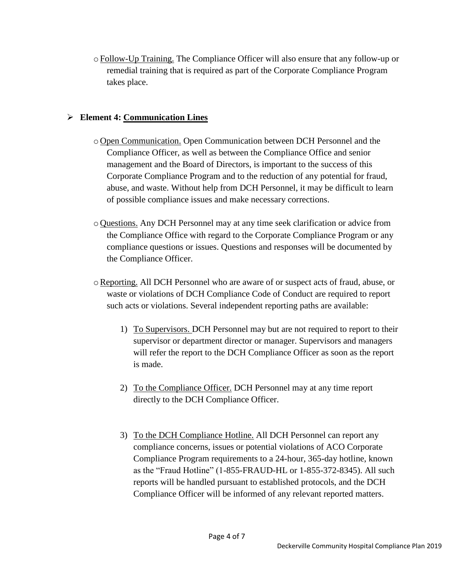$\circ$  Follow-Up Training. The Compliance Officer will also ensure that any follow-up or remedial training that is required as part of the Corporate Compliance Program takes place.

### **Element 4: Communication Lines**

- o Open Communication. Open Communication between DCH Personnel and the Compliance Officer, as well as between the Compliance Office and senior management and the Board of Directors, is important to the success of this Corporate Compliance Program and to the reduction of any potential for fraud, abuse, and waste. Without help from DCH Personnel, it may be difficult to learn of possible compliance issues and make necessary corrections.
- o Questions. Any DCH Personnel may at any time seek clarification or advice from the Compliance Office with regard to the Corporate Compliance Program or any compliance questions or issues. Questions and responses will be documented by the Compliance Officer.
- oReporting. All DCH Personnel who are aware of or suspect acts of fraud, abuse, or waste or violations of DCH Compliance Code of Conduct are required to report such acts or violations. Several independent reporting paths are available:
	- 1) To Supervisors. DCH Personnel may but are not required to report to their supervisor or department director or manager. Supervisors and managers will refer the report to the DCH Compliance Officer as soon as the report is made.
	- 2) To the Compliance Officer. DCH Personnel may at any time report directly to the DCH Compliance Officer.
	- 3) To the DCH Compliance Hotline. All DCH Personnel can report any compliance concerns, issues or potential violations of ACO Corporate Compliance Program requirements to a 24-hour, 365-day hotline, known as the "Fraud Hotline" (1-855-FRAUD-HL or 1-855-372-8345). All such reports will be handled pursuant to established protocols, and the DCH Compliance Officer will be informed of any relevant reported matters.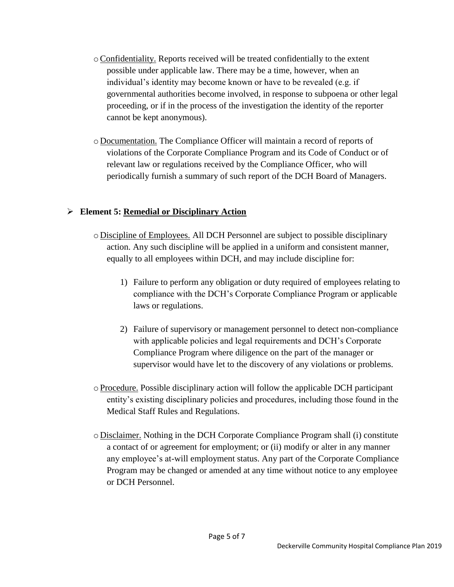- oConfidentiality. Reports received will be treated confidentially to the extent possible under applicable law. There may be a time, however, when an individual's identity may become known or have to be revealed (e.g. if governmental authorities become involved, in response to subpoena or other legal proceeding, or if in the process of the investigation the identity of the reporter cannot be kept anonymous).
- o Documentation. The Compliance Officer will maintain a record of reports of violations of the Corporate Compliance Program and its Code of Conduct or of relevant law or regulations received by the Compliance Officer, who will periodically furnish a summary of such report of the DCH Board of Managers.

#### **Element 5: Remedial or Disciplinary Action**

- o Discipline of Employees. All DCH Personnel are subject to possible disciplinary action. Any such discipline will be applied in a uniform and consistent manner, equally to all employees within DCH, and may include discipline for:
	- 1) Failure to perform any obligation or duty required of employees relating to compliance with the DCH's Corporate Compliance Program or applicable laws or regulations.
	- 2) Failure of supervisory or management personnel to detect non-compliance with applicable policies and legal requirements and DCH's Corporate Compliance Program where diligence on the part of the manager or supervisor would have let to the discovery of any violations or problems.
- o Procedure. Possible disciplinary action will follow the applicable DCH participant entity's existing disciplinary policies and procedures, including those found in the Medical Staff Rules and Regulations.
- o Disclaimer. Nothing in the DCH Corporate Compliance Program shall (i) constitute a contact of or agreement for employment; or (ii) modify or alter in any manner any employee's at-will employment status. Any part of the Corporate Compliance Program may be changed or amended at any time without notice to any employee or DCH Personnel.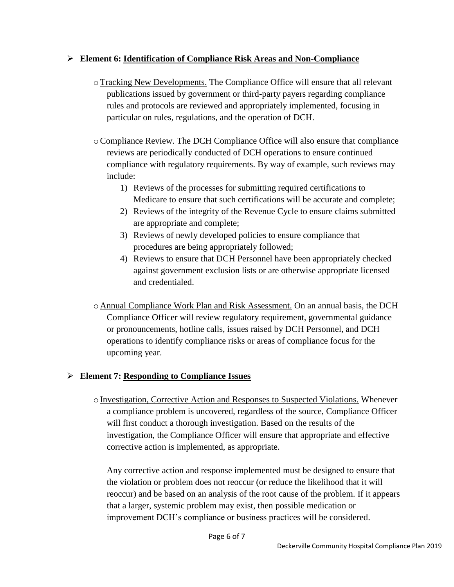### **Element 6: Identification of Compliance Risk Areas and Non-Compliance**

- oTracking New Developments. The Compliance Office will ensure that all relevant publications issued by government or third-party payers regarding compliance rules and protocols are reviewed and appropriately implemented, focusing in particular on rules, regulations, and the operation of DCH.
- oCompliance Review. The DCH Compliance Office will also ensure that compliance reviews are periodically conducted of DCH operations to ensure continued compliance with regulatory requirements. By way of example, such reviews may include:
	- 1) Reviews of the processes for submitting required certifications to Medicare to ensure that such certifications will be accurate and complete;
	- 2) Reviews of the integrity of the Revenue Cycle to ensure claims submitted are appropriate and complete;
	- 3) Reviews of newly developed policies to ensure compliance that procedures are being appropriately followed;
	- 4) Reviews to ensure that DCH Personnel have been appropriately checked against government exclusion lists or are otherwise appropriate licensed and credentialed.
- o Annual Compliance Work Plan and Risk Assessment. On an annual basis, the DCH Compliance Officer will review regulatory requirement, governmental guidance or pronouncements, hotline calls, issues raised by DCH Personnel, and DCH operations to identify compliance risks or areas of compliance focus for the upcoming year.

# **Element 7: Responding to Compliance Issues**

o Investigation, Corrective Action and Responses to Suspected Violations. Whenever a compliance problem is uncovered, regardless of the source, Compliance Officer will first conduct a thorough investigation. Based on the results of the investigation, the Compliance Officer will ensure that appropriate and effective corrective action is implemented, as appropriate.

Any corrective action and response implemented must be designed to ensure that the violation or problem does not reoccur (or reduce the likelihood that it will reoccur) and be based on an analysis of the root cause of the problem. If it appears that a larger, systemic problem may exist, then possible medication or improvement DCH's compliance or business practices will be considered.